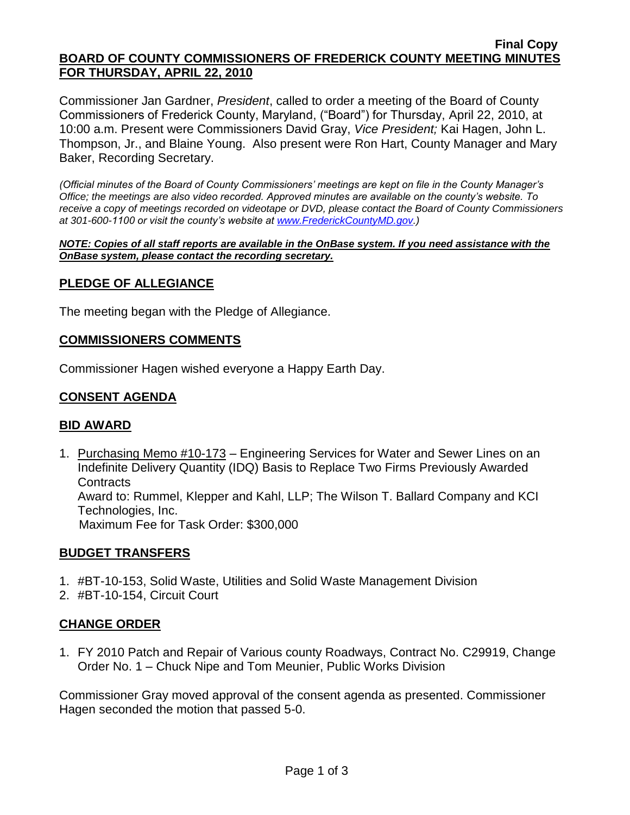#### **Final Copy BOARD OF COUNTY COMMISSIONERS OF FREDERICK COUNTY MEETING MINUTES FOR THURSDAY, APRIL 22, 2010**

Commissioner Jan Gardner, *President*, called to order a meeting of the Board of County Commissioners of Frederick County, Maryland, ("Board") for Thursday, April 22, 2010, at 10:00 a.m. Present were Commissioners David Gray, *Vice President;* Kai Hagen, John L. Thompson, Jr., and Blaine Young. Also present were Ron Hart, County Manager and Mary Baker, Recording Secretary.

*(Official minutes of the Board of County Commissioners' meetings are kept on file in the County Manager's Office; the meetings are also video recorded. Approved minutes are available on the county's website. To receive a copy of meetings recorded on videotape or DVD, please contact the Board of County Commissioners at 301-600-1100 or visit the county's website at [www.FrederickCountyMD.gov.](http://www.frederickcountymd.gov/))*

*NOTE: Copies of all staff reports are available in the OnBase system. If you need assistance with the OnBase system, please contact the recording secretary.*

## **PLEDGE OF ALLEGIANCE**

The meeting began with the Pledge of Allegiance.

## **COMMISSIONERS COMMENTS**

Commissioner Hagen wished everyone a Happy Earth Day.

## **CONSENT AGENDA**

### **BID AWARD**

1. Purchasing Memo #10-173 – Engineering Services for Water and Sewer Lines on an Indefinite Delivery Quantity (IDQ) Basis to Replace Two Firms Previously Awarded **Contracts** Award to: Rummel, Klepper and Kahl, LLP; The Wilson T. Ballard Company and KCI Technologies, Inc. Maximum Fee for Task Order: \$300,000

### **BUDGET TRANSFERS**

- 1. #BT-10-153, Solid Waste, Utilities and Solid Waste Management Division
- 2. #BT-10-154, Circuit Court

### **CHANGE ORDER**

1. FY 2010 Patch and Repair of Various county Roadways, Contract No. C29919, Change Order No. 1 – Chuck Nipe and Tom Meunier, Public Works Division

Commissioner Gray moved approval of the consent agenda as presented. Commissioner Hagen seconded the motion that passed 5-0.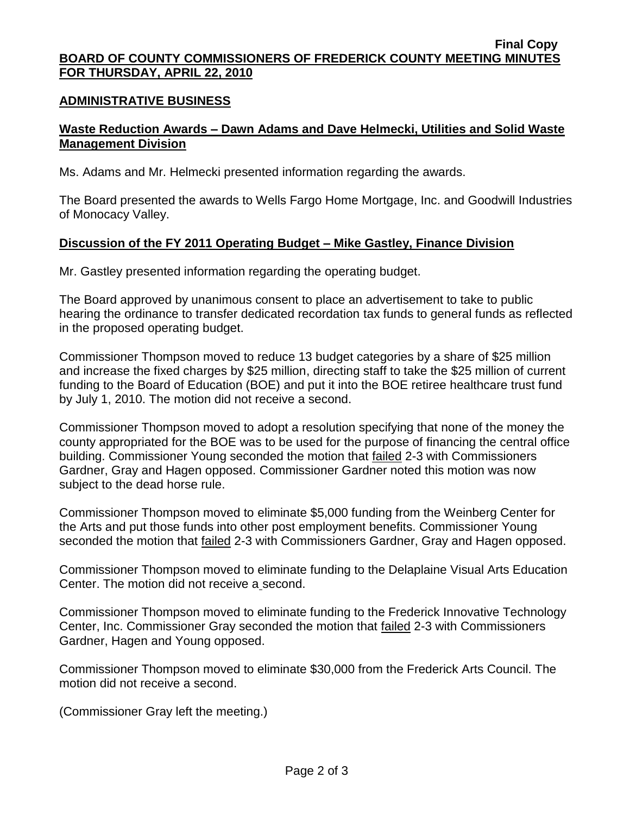#### **Final Copy BOARD OF COUNTY COMMISSIONERS OF FREDERICK COUNTY MEETING MINUTES FOR THURSDAY, APRIL 22, 2010**

### **ADMINISTRATIVE BUSINESS**

# **Waste Reduction Awards – Dawn Adams and Dave Helmecki, Utilities and Solid Waste Management Division**

Ms. Adams and Mr. Helmecki presented information regarding the awards.

The Board presented the awards to Wells Fargo Home Mortgage, Inc. and Goodwill Industries of Monocacy Valley.

## **Discussion of the FY 2011 Operating Budget – Mike Gastley, Finance Division**

Mr. Gastley presented information regarding the operating budget.

The Board approved by unanimous consent to place an advertisement to take to public hearing the ordinance to transfer dedicated recordation tax funds to general funds as reflected in the proposed operating budget.

Commissioner Thompson moved to reduce 13 budget categories by a share of \$25 million and increase the fixed charges by \$25 million, directing staff to take the \$25 million of current funding to the Board of Education (BOE) and put it into the BOE retiree healthcare trust fund by July 1, 2010. The motion did not receive a second.

Commissioner Thompson moved to adopt a resolution specifying that none of the money the county appropriated for the BOE was to be used for the purpose of financing the central office building. Commissioner Young seconded the motion that failed 2-3 with Commissioners Gardner, Gray and Hagen opposed. Commissioner Gardner noted this motion was now subject to the dead horse rule.

Commissioner Thompson moved to eliminate \$5,000 funding from the Weinberg Center for the Arts and put those funds into other post employment benefits. Commissioner Young seconded the motion that failed 2-3 with Commissioners Gardner, Gray and Hagen opposed.

Commissioner Thompson moved to eliminate funding to the Delaplaine Visual Arts Education Center. The motion did not receive a second.

Commissioner Thompson moved to eliminate funding to the Frederick Innovative Technology Center, Inc. Commissioner Gray seconded the motion that failed 2-3 with Commissioners Gardner, Hagen and Young opposed.

Commissioner Thompson moved to eliminate \$30,000 from the Frederick Arts Council. The motion did not receive a second.

(Commissioner Gray left the meeting.)